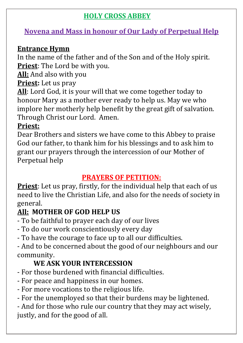#### **HOLY CROSS ABBEY**

### **Novena and Mass in honour of Our Lady of Perpetual Help**

#### **Entrance Hymn**

In the name of the father and of the Son and of the Holy spirit. **Priest**: The Lord be with you.

**All:** And also with you

**Priest:** Let us pray

**All**: Lord God, it is your will that we come together today to honour Mary as a mother ever ready to help us. May we who implore her motherly help benefit by the great gift of salvation. Through Christ our Lord. Amen.

### **Priest:**

Dear Brothers and sisters we have come to this Abbey to praise God our father, to thank him for his blessings and to ask him to grant our prayers through the intercession of our Mother of Perpetual help

### **PRAYERS OF PETITION:**

**Priest**: Let us pray, firstly, for the individual help that each of us need to live the Christian Life, and also for the needs of society in general.

# **All: MOTHER OF GOD HELP US**

- To be faithful to prayer each day of our lives
- To do our work conscientiously every day
- To have the courage to face up to all our difficulties.

- And to be concerned about the good of our neighbours and our community.

# **WE ASK YOUR INTERCESSION**

- For those burdened with financial difficulties.
- For peace and happiness in our homes.
- For more vocations to the religious life.
- For the unemployed so that their burdens may be lightened.
- And for those who rule our country that they may act wisely, justly, and for the good of all.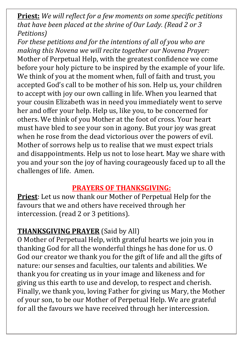**Priest:** *We will reflect for a few moments on some specific petitions that have been placed at the shrine of Our Lady. (Read 2 or 3 Petitions)*

*For these petitions and for the intentions of all of you who are making this Novena we will recite together our Novena Prayer:* Mother of Perpetual Help, with the greatest confidence we come before your holy picture to be inspired by the example of your life. We think of you at the moment when, full of faith and trust, you accepted God's call to be mother of his son. Help us, your children to accept with joy our own calling in life. When you learned that your cousin Elizabeth was in need you immediately went to serve her and offer your help. Help us, like you, to be concerned for others. We think of you Mother at the foot of cross. Your heart must have bled to see your son in agony. But your joy was great when he rose from the dead victorious over the powers of evil. Mother of sorrows help us to realise that we must expect trials and disappointments. Help us not to lose heart. May we share with you and your son the joy of having courageously faced up to all the challenges of life. Amen.

#### **PRAYERS OF THANKSGIVING:**

**Priest**: Let us now thank our Mother of Perpetual Help for the favours that we and others have received through her intercession. (read 2 or 3 petitions).

### **THANKSGIVING PRAYER** (Said by All)

O Mother of Perpetual Help, with grateful hearts we join you in thanking God for all the wonderful things he has done for us. O God our creator we thank you for the gift of life and all the gifts of nature: our senses and faculties, our talents and abilities. We thank you for creating us in your image and likeness and for giving us this earth to use and develop, to respect and cherish. Finally, we thank you, loving Father for giving us Mary, the Mother of your son, to be our Mother of Perpetual Help. We are grateful for all the favours we have received through her intercession.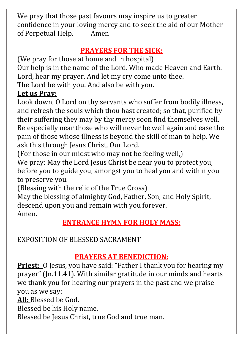We pray that those past favours may inspire us to greater confidence in your loving mercy and to seek the aid of our Mother of Perpetual Help. Amen

## **PRAYERS FOR THE SICK:**

(We pray for those at home and in hospital)

Our help is in the name of the Lord. Who made Heaven and Earth. Lord, hear my prayer. And let my cry come unto thee.

The Lord be with you. And also be with you.

#### **Let us Pray:**

Look down, O Lord on thy servants who suffer from bodily illness, and refresh the souls which thou hast created; so that, purified by their suffering they may by thy mercy soon find themselves well. Be especially near those who will never be well again and ease the pain of those whose illness is beyond the skill of man to help. We ask this through Jesus Christ, Our Lord.

(For those in our midst who may not be feeling well,) We pray: May the Lord Jesus Christ be near you to protect you, before you to guide you, amongst you to heal you and within you to preserve you.

(Blessing with the relic of the True Cross)

May the blessing of almighty God, Father, Son, and Holy Spirit, descend upon you and remain with you forever. Amen.

### **ENTRANCE HYMN FOR HOLY MASS:**

EXPOSITION OF BLESSED SACRAMENT

# **PRAYERS AT BENEDICTION:**

**Priest:** O Jesus, you have said: "Father I thank you for hearing my prayer" (Jn.11.41). With similar gratitude in our minds and hearts we thank you for hearing our prayers in the past and we praise you as we say:

**All:** Blessed be God.

Blessed be his Holy name.

Blessed be Jesus Christ, true God and true man.